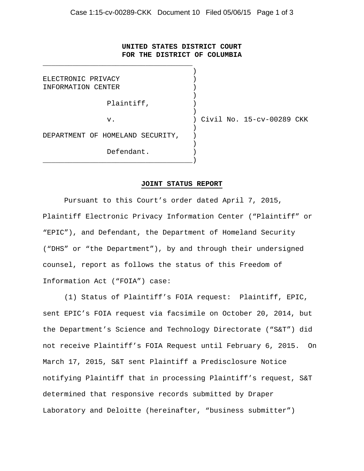## **UNITED STATES DISTRICT COURT FOR THE DISTRICT OF COLUMBIA**

\_\_\_\_\_\_\_\_\_\_\_\_\_\_\_\_\_\_\_\_\_\_\_\_\_\_\_\_\_\_\_\_\_\_\_

| ELECTRONIC PRIVACY               |                           |
|----------------------------------|---------------------------|
| INFORMATION CENTER               |                           |
|                                  |                           |
| Plaintiff,                       |                           |
|                                  |                           |
| v.                               | Civil No. 15-cv-00289 CKK |
|                                  |                           |
| DEPARTMENT OF HOMELAND SECURITY, |                           |
|                                  |                           |
| Defendant.                       |                           |
|                                  |                           |

## **JOINT STATUS REPORT**

 Pursuant to this Court's order dated April 7, 2015, Plaintiff Electronic Privacy Information Center ("Plaintiff" or "EPIC"), and Defendant, the Department of Homeland Security ("DHS" or "the Department"), by and through their undersigned counsel, report as follows the status of this Freedom of Information Act ("FOIA") case:

 (1) Status of Plaintiff's FOIA request: Plaintiff, EPIC, sent EPIC's FOIA request via facsimile on October 20, 2014, but the Department's Science and Technology Directorate ("S&T") did not receive Plaintiff's FOIA Request until February 6, 2015. On March 17, 2015, S&T sent Plaintiff a Predisclosure Notice notifying Plaintiff that in processing Plaintiff's request, S&T determined that responsive records submitted by Draper Laboratory and Deloitte (hereinafter, "business submitter")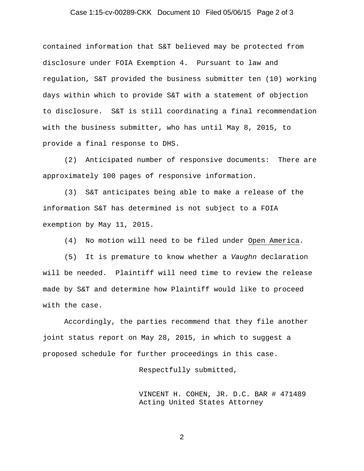## Case 1:15-cv-00289-CKK Document 10 Filed 05/06/15 Page 2 of 3

contained information that S&T believed may be protected from disclosure under FOIA Exemption 4. Pursuant to law and regulation, S&T provided the business submitter ten (10) working days within which to provide S&T with a statement of objection to disclosure. S&T is still coordinating a final recommendation with the business submitter, who has until May 8, 2015, to provide a final response to DHS.

 (2) Anticipated number of responsive documents: There are approximately 100 pages of responsive information.

 (3) S&T anticipates being able to make a release of the information S&T has determined is not subject to a FOIA exemption by May 11, 2015.

(4) No motion will need to be filed under Open America.

 (5) It is premature to know whether a *Vaughn* declaration will be needed. Plaintiff will need time to review the release made by S&T and determine how Plaintiff would like to proceed with the case.

 Accordingly, the parties recommend that they file another joint status report on May 28, 2015, in which to suggest a proposed schedule for further proceedings in this case.

Respectfully submitted,

VINCENT H. COHEN, JR. D.C. BAR # 471489 Acting United States Attorney

2